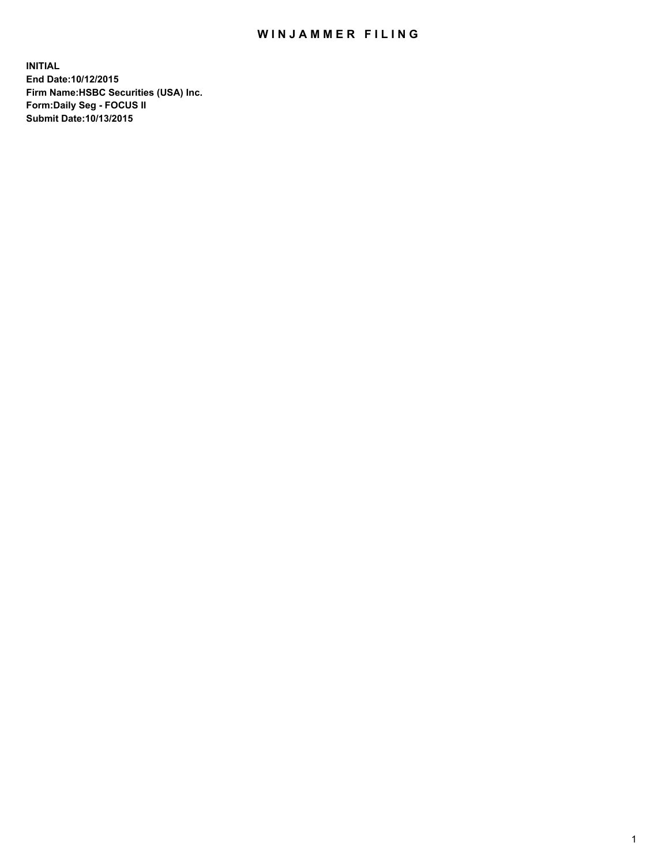## WIN JAMMER FILING

**INITIAL End Date:10/12/2015 Firm Name:HSBC Securities (USA) Inc. Form:Daily Seg - FOCUS II Submit Date:10/13/2015**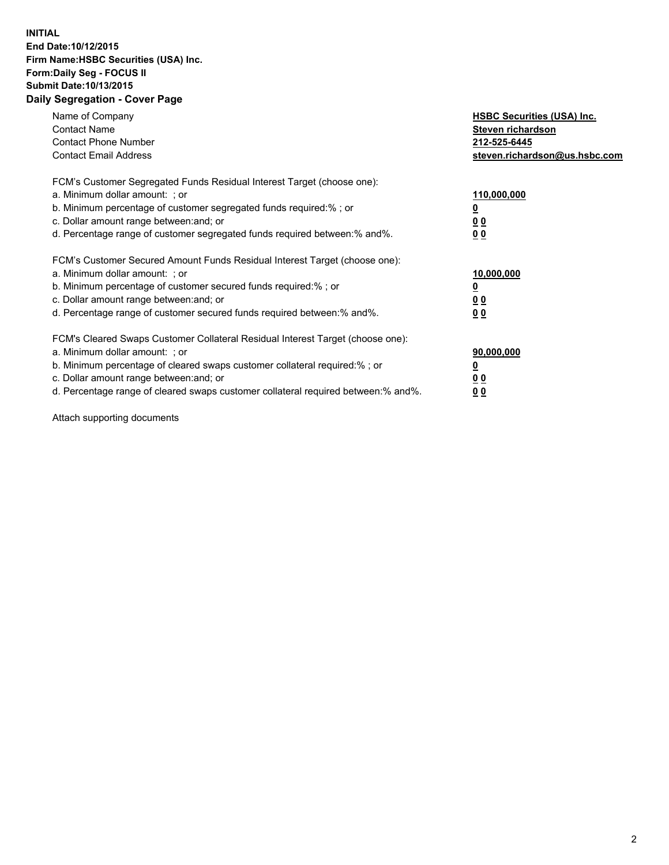## **INITIAL End Date:10/12/2015 Firm Name:HSBC Securities (USA) Inc. Form:Daily Seg - FOCUS II Submit Date:10/13/2015 Daily Segregation - Cover Page**

| Name of Company<br><b>Contact Name</b><br><b>Contact Phone Number</b><br><b>Contact Email Address</b>                                                                                                                                                                                                                         | <b>HSBC Securities (USA) Inc.</b><br>Steven richardson<br>212-525-6445<br>steven.richardson@us.hsbc.com |
|-------------------------------------------------------------------------------------------------------------------------------------------------------------------------------------------------------------------------------------------------------------------------------------------------------------------------------|---------------------------------------------------------------------------------------------------------|
| FCM's Customer Segregated Funds Residual Interest Target (choose one):<br>a. Minimum dollar amount: ; or<br>b. Minimum percentage of customer segregated funds required:% ; or<br>c. Dollar amount range between: and; or<br>d. Percentage range of customer segregated funds required between:% and%.                        | 110,000,000<br><u>0</u><br>0 <sub>0</sub><br>0 <sub>0</sub>                                             |
| FCM's Customer Secured Amount Funds Residual Interest Target (choose one):<br>a. Minimum dollar amount: ; or<br>b. Minimum percentage of customer secured funds required:%; or<br>c. Dollar amount range between: and; or<br>d. Percentage range of customer secured funds required between:% and%.                           | 10,000,000<br>0 <sub>0</sub><br>0 <sub>0</sub>                                                          |
| FCM's Cleared Swaps Customer Collateral Residual Interest Target (choose one):<br>a. Minimum dollar amount: ; or<br>b. Minimum percentage of cleared swaps customer collateral required:%; or<br>c. Dollar amount range between: and; or<br>d. Percentage range of cleared swaps customer collateral required between:% and%. | 90,000,000<br>0 <sub>0</sub><br>00                                                                      |

Attach supporting documents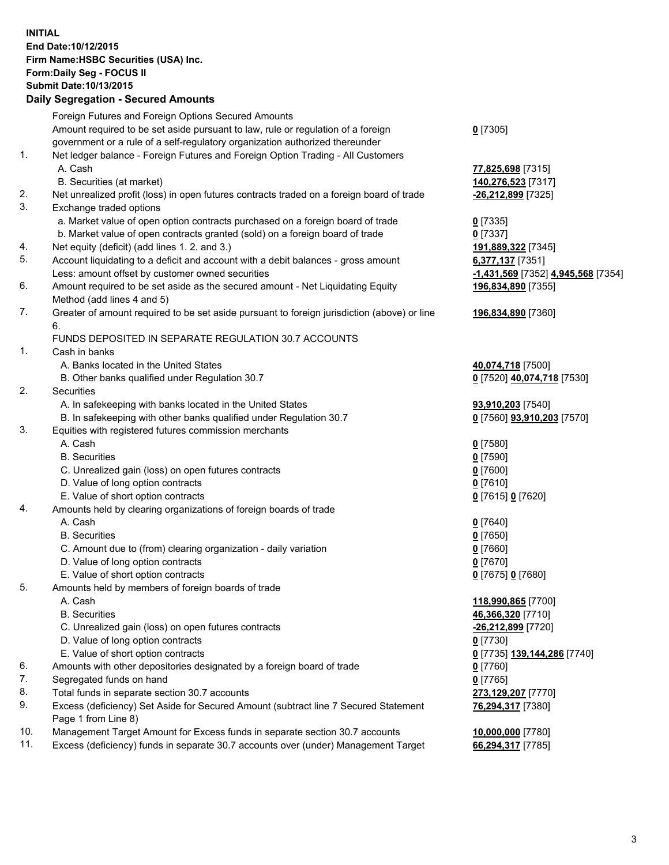**INITIAL End Date:10/12/2015 Firm Name:HSBC Securities (USA) Inc. Form:Daily Seg - FOCUS II Submit Date:10/13/2015 Daily Segregation - Secured Amounts**

## Foreign Futures and Foreign Options Secured Amounts Amount required to be set aside pursuant to law, rule or regulation of a foreign government or a rule of a self-regulatory organization authorized thereunder 1. Net ledger balance - Foreign Futures and Foreign Option Trading - All Customers A. Cash **77,825,698** [7315] B. Securities (at market) **140,276,523** [7317] 2. Net unrealized profit (loss) in open futures contracts traded on a foreign board of trade **-26,212,899** [7325] 3. Exchange traded options a. Market value of open option contracts purchased on a foreign board of trade **0** [7335] b. Market value of open contracts granted (sold) on a foreign board of trade **0** [7337] 4. Net equity (deficit) (add lines 1. 2. and 3.) **191,889,322** [7345] 5. Account liquidating to a deficit and account with a debit balances - gross amount **6,377,137** [7351] Less: amount offset by customer owned securities **-1,431,569** [7352] **4,945,568** [7354] 6. Amount required to be set aside as the secured amount - Net Liquidating Equity Method (add lines 4 and 5) 7. Greater of amount required to be set aside pursuant to foreign jurisdiction (above) or line 6. FUNDS DEPOSITED IN SEPARATE REGULATION 30.7 ACCOUNTS 1. Cash in banks A. Banks located in the United States **40,074,718** [7500] B. Other banks qualified under Regulation 30.7 **0** [7520] **40,074,718** [7530] 2. Securities A. In safekeeping with banks located in the United States **93,910,203** [7540] B. In safekeeping with other banks qualified under Regulation 30.7 **0** [7560] **93,910,203** [7570] 3. Equities with registered futures commission merchants A. Cash **0** [7580] B. Securities **0** [7590] C. Unrealized gain (loss) on open futures contracts **0** [7600] D. Value of long option contracts **0** [7610] E. Value of short option contracts **0** [7615] **0** [7620] 4. Amounts held by clearing organizations of foreign boards of trade A. Cash **0** [7640] B. Securities **0** [7650] C. Amount due to (from) clearing organization - daily variation **0** [7660]

- D. Value of long option contracts **0** [7670]
- E. Value of short option contracts **0** [7675] **0** [7680]
- 5. Amounts held by members of foreign boards of trade
	-
	-
	- C. Unrealized gain (loss) on open futures contracts **-26,212,899** [7720]
	- D. Value of long option contracts **0** [7730]
	- E. Value of short option contracts **0** [7735] **139,144,286** [7740]
- 6. Amounts with other depositories designated by a foreign board of trade **0** [7760]
- 7. Segregated funds on hand **0** [7765]
- 8. Total funds in separate section 30.7 accounts **273,129,207** [7770]
- 9. Excess (deficiency) Set Aside for Secured Amount (subtract line 7 Secured Statement Page 1 from Line 8)
- 10. Management Target Amount for Excess funds in separate section 30.7 accounts **10,000,000** [7780]
- 11. Excess (deficiency) funds in separate 30.7 accounts over (under) Management Target **66,294,317** [7785]

**0** [7305]

**196,834,890** [7355] **196,834,890** [7360] A. Cash **118,990,865** [7700] B. Securities **46,366,320** [7710] **76,294,317** [7380]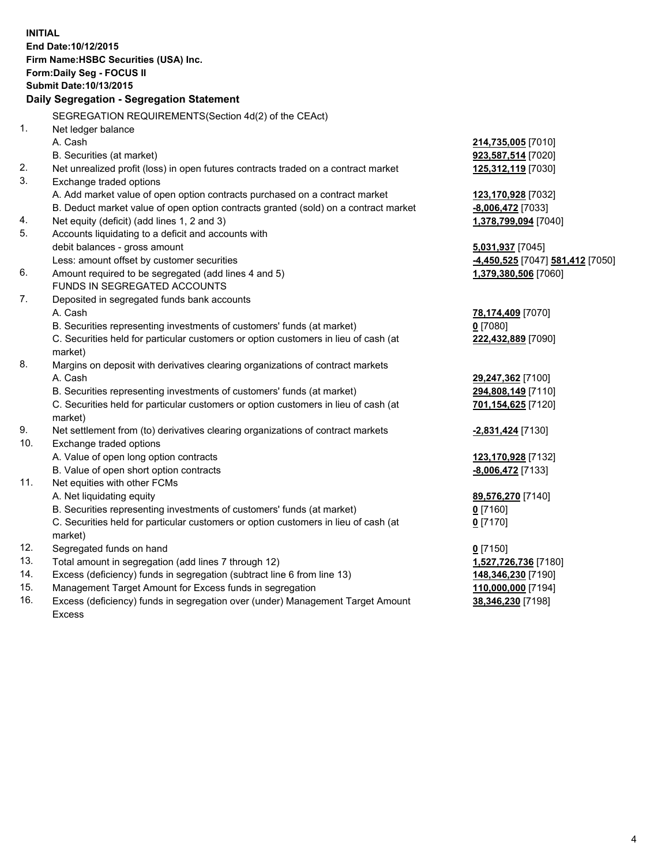**INITIAL End Date:10/12/2015 Firm Name:HSBC Securities (USA) Inc. Form:Daily Seg - FOCUS II Submit Date:10/13/2015 Daily Segregation - Segregation Statement** SEGREGATION REQUIREMENTS(Section 4d(2) of the CEAct) 1. Net ledger balance A. Cash **214,735,005** [7010] B. Securities (at market) **923,587,514** [7020] 2. Net unrealized profit (loss) in open futures contracts traded on a contract market **125,312,119** [7030] 3. Exchange traded options A. Add market value of open option contracts purchased on a contract market **123,170,928** [7032] B. Deduct market value of open option contracts granted (sold) on a contract market **-8,006,472** [7033] 4. Net equity (deficit) (add lines 1, 2 and 3) **1,378,799,094** [7040] 5. Accounts liquidating to a deficit and accounts with debit balances - gross amount **5,031,937** [7045] Less: amount offset by customer securities **-4,450,525** [7047] **581,412** [7050] 6. Amount required to be segregated (add lines 4 and 5) **1,379,380,506** [7060] FUNDS IN SEGREGATED ACCOUNTS 7. Deposited in segregated funds bank accounts A. Cash **78,174,409** [7070] B. Securities representing investments of customers' funds (at market) **0** [7080] C. Securities held for particular customers or option customers in lieu of cash (at market) **222,432,889** [7090] 8. Margins on deposit with derivatives clearing organizations of contract markets A. Cash **29,247,362** [7100] B. Securities representing investments of customers' funds (at market) **294,808,149** [7110] C. Securities held for particular customers or option customers in lieu of cash (at market) **701,154,625** [7120] 9. Net settlement from (to) derivatives clearing organizations of contract markets **-2,831,424** [7130] 10. Exchange traded options A. Value of open long option contracts **123,170,928** [7132] B. Value of open short option contracts **-8,006,472** [7133] 11. Net equities with other FCMs A. Net liquidating equity **89,576,270** [7140] B. Securities representing investments of customers' funds (at market) **0** [7160] C. Securities held for particular customers or option customers in lieu of cash (at market) **0** [7170] 12. Segregated funds on hand **0** [7150] 13. Total amount in segregation (add lines 7 through 12) **1,527,726,736** [7180] 14. Excess (deficiency) funds in segregation (subtract line 6 from line 13) **148,346,230** [7190] 15. Management Target Amount for Excess funds in segregation **110,000,000** [7194]

16. Excess (deficiency) funds in segregation over (under) Management Target Amount Excess

**38,346,230** [7198]